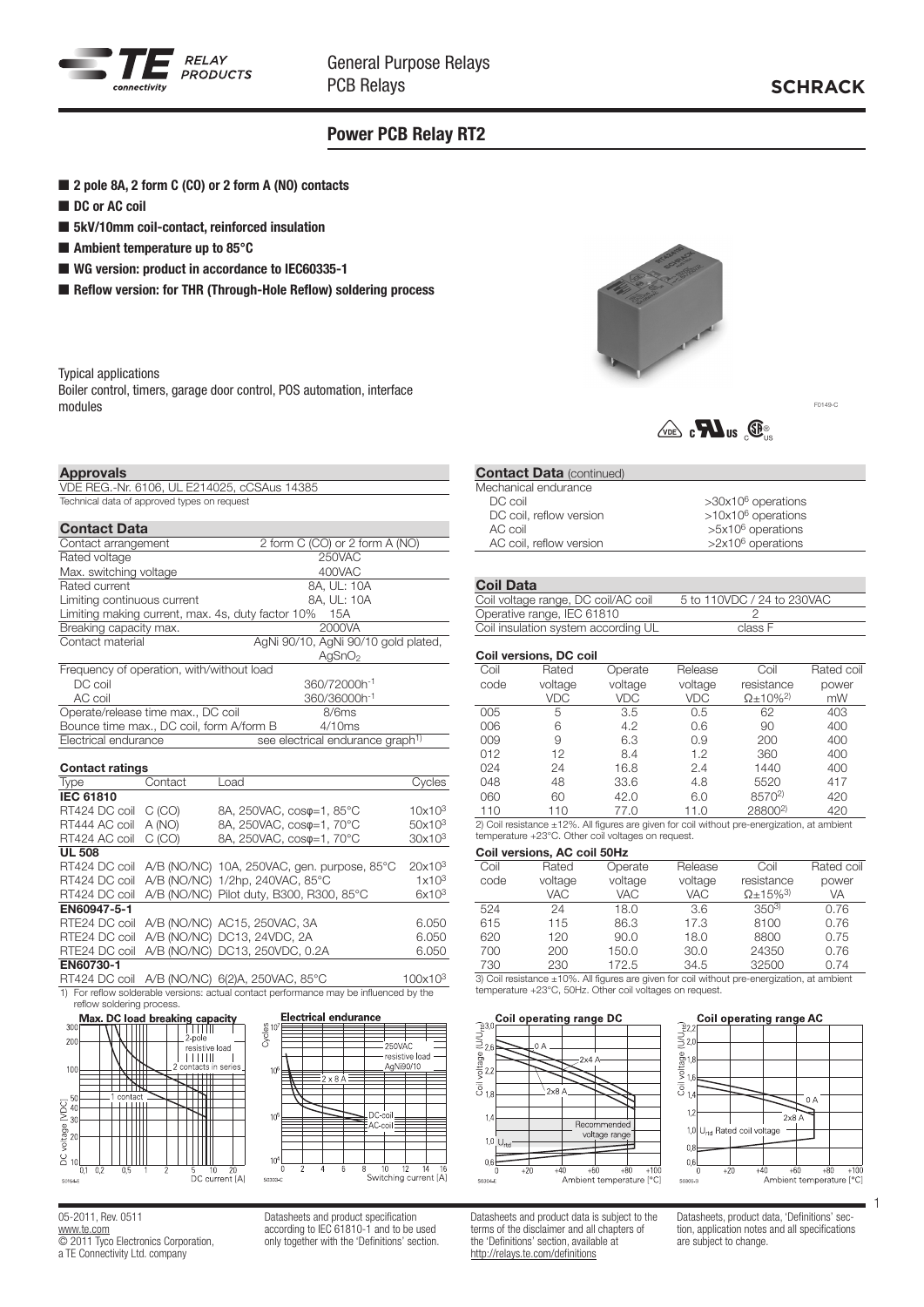

## Power PCB Relay RT2

- 2 pole 8A, 2 form C (CO) or 2 form A (NO) contacts
- DC or AC coil
- 5kV/10mm coil-contact, reinforced insulation
- $\blacksquare$  Ambient temperature up to 85 $^{\circ}$ C
- WG version: product in accordance to IEC60335-1
- Reflow version: for THR (Through-Hole Reflow) soldering process

Typical applications

Boiler control, timers, garage door control, POS automation, interface modules



F0149-C

# $\sqrt{\log n}$  c $\blacksquare$ us  $\mathbb{G}_{\text{us}}$

### **Approvals**

| VDE REG.-Nr. 6106, UL E214025, cCSAus 14385 |
|---------------------------------------------|
| Technical data of approved types on request |

| <b>Contact Data</b>                               |                                              |  |  |  |  |
|---------------------------------------------------|----------------------------------------------|--|--|--|--|
| Contact arrangement                               | 2 form C (CO) or 2 form A (NO)               |  |  |  |  |
| Rated voltage                                     | 250VAC                                       |  |  |  |  |
| Max. switching voltage                            | 400VAC                                       |  |  |  |  |
| Rated current                                     | 8A, UL: 10A                                  |  |  |  |  |
| Limiting continuous current                       | 8A, UL: 10A                                  |  |  |  |  |
| Limiting making current, max. 4s, duty factor 10% | 15A                                          |  |  |  |  |
| Breaking capacity max.                            | 2000VA                                       |  |  |  |  |
| Contact material                                  | AgNi 90/10, AgNi 90/10 gold plated,          |  |  |  |  |
|                                                   | AaSnO <sub>2</sub>                           |  |  |  |  |
| Frequency of operation, with/without load         |                                              |  |  |  |  |
| DC coil                                           | 360/72000h-1                                 |  |  |  |  |
| AC coil                                           | 360/36000h-1                                 |  |  |  |  |
| Operate/release time max., DC coil                | 8/6ms                                        |  |  |  |  |
| Bounce time max., DC coil, form A/form B          | 4/10ms                                       |  |  |  |  |
| Electrical endurance                              | see electrical endurance graph <sup>1)</sup> |  |  |  |  |
| <b>Contact ratings</b>                            |                                              |  |  |  |  |

| Gunlact ratings  |         |                                                           |                    |
|------------------|---------|-----------------------------------------------------------|--------------------|
| Type             | Contact | Load                                                      | Cycles             |
| <b>IEC 61810</b> |         |                                                           |                    |
| RT424 DC coil    | C (CO)  | 8A, 250VAC, coso=1, 85°C                                  | 10x10 <sup>3</sup> |
| RT444 AC coil    | A (NO)  | 8A, 250VAC, coso=1, 70°C                                  | 50x10 <sup>3</sup> |
| RT424 AC coil    | C (CO)  | 8A, 250VAC, coso=1, 70°C                                  | 30x10 <sup>3</sup> |
| <b>UL 508</b>    |         |                                                           |                    |
|                  |         | RT424 DC coil A/B (NO/NC) 10A, 250VAC, gen. purpose, 85°C | $20x10^3$          |
| RT424 DC coil    |         | A/B (NO/NC) 1/2hp, 240VAC, 85°C                           | 1x10 <sup>3</sup>  |
| RT424 DC coil    |         | A/B (NO/NC) Pilot duty, B300, R300, 85°C                  | $6x10^3$           |
| EN60947-5-1      |         |                                                           |                    |
| RTE24 DC coil    |         | A/B (NO/NC) AC15, 250VAC, 3A                              | 6.050              |
|                  |         | RTE24 DC coil A/B (NO/NC) DC13, 24VDC, 2A                 | 6.050              |
| RTE24 DC coil    |         | A/B (NO/NC) DC13, 250VDC, 0.2A                            | 6.050              |
| EN60730-1        |         |                                                           |                    |
|                  |         |                                                           |                    |

RT424 DC coil A/B (NO/NC) 6(2)A, 250VAC, 85°C 100x10<sup>3</sup> 1) For reflow solderable versions: actual contact performance may be influenced by the





05-2011, Rev. 0511 [www.te.com](http://www.te.com) **COLOGO ELECTRONICS** Corporation, a TE Connectivity Ltd. company

Datasheets and product specification according to IEC 61810-1 and to be used only together with the 'Definitions' section. **Contact Data (continued)** Mechanical endurance<br>DC coil >30x10<sup>6</sup> operations  $DC$  coil, reflow version  $>10x10^6$  operations AC coil<br>AC coil, reflow version<br>AC coil, reflow version<br> $>2x10^6$  operations AC coil, reflow version

### Coil Data

### Coil versions, DC coil

|      | <b>OUIL VELSIURS, DU GUIL</b> |         |         |                              |            |
|------|-------------------------------|---------|---------|------------------------------|------------|
| Coil | Rated                         | Operate | Release | Coil                         | Rated coil |
| code | voltage                       | voltage | voltage | resistance                   | power      |
|      | VDC                           | VDC     | VDC     | $\Omega$ + 10% <sup>2)</sup> | mW         |
| 005  | 5                             | 3.5     | 0.5     | 62                           | 403        |
| 006  | 6                             | 4.2     | 0.6     | 90                           | 400        |
| 009  | 9                             | 6.3     | 0.9     | 200                          | 400        |
| 012  | 12                            | 8.4     | 1.2     | 360                          | 400        |
| 024  | 24                            | 16.8    | 2.4     | 1440                         | 400        |
| 048  | 48                            | 33.6    | 4.8     | 5520                         | 417        |
| 060  | 60                            | 42.0    | 6.0     | 8570 <sup>2)</sup>           | 420        |
| 110  | 110                           | 77.0    | 11.0    | 28800 <sup>2)</sup>          | 420        |
|      |                               |         |         |                              |            |

2) Coil resistance ±12%. All figures are given for coil without pre-energization, at ambient temperature +23°C. Other coil voltages on request.

#### Coil versions, AC coil 50Hz

| Coil | Rated                   | Operate    | Release    | Coil                         | Rated coil |
|------|-------------------------|------------|------------|------------------------------|------------|
| code | voltage                 | voltage    | voltage    | resistance                   | power      |
|      | <b>VAC</b>              | <b>VAC</b> | <b>VAC</b> | $\Omega$ + 15% <sup>3)</sup> | VA         |
| 524  | 24                      | 18.0       | 3.6        | $350^{3}$                    | 0.76       |
| 615  | 115                     | 86.3       | 17.3       | 8100                         | 0.76       |
| 620  | 120                     | 90.0       | 18.0       | 8800                         | 0.75       |
| 700  | 200                     | 150.0      | 30.0       | 24350                        | 0.76       |
| 730  | 230                     | 172.5      | 34.5       | 32500                        | 0.74       |
|      | $0.0.1$ $1.1.1$ $1.00/$ |            |            |                              |            |

ce ±10%. All figures are given for coil without pre-energization, at ambient temperature +23°C, 50Hz. Other coil voltages on request.





Datasheets and product data is subject to the terms of the disclaimer and all chapters of the 'Definitions' section, available at <http://relays.te.com/definitions>

Datasheets, product data, 'Definitions' section, application notes and all specifications are subject to change.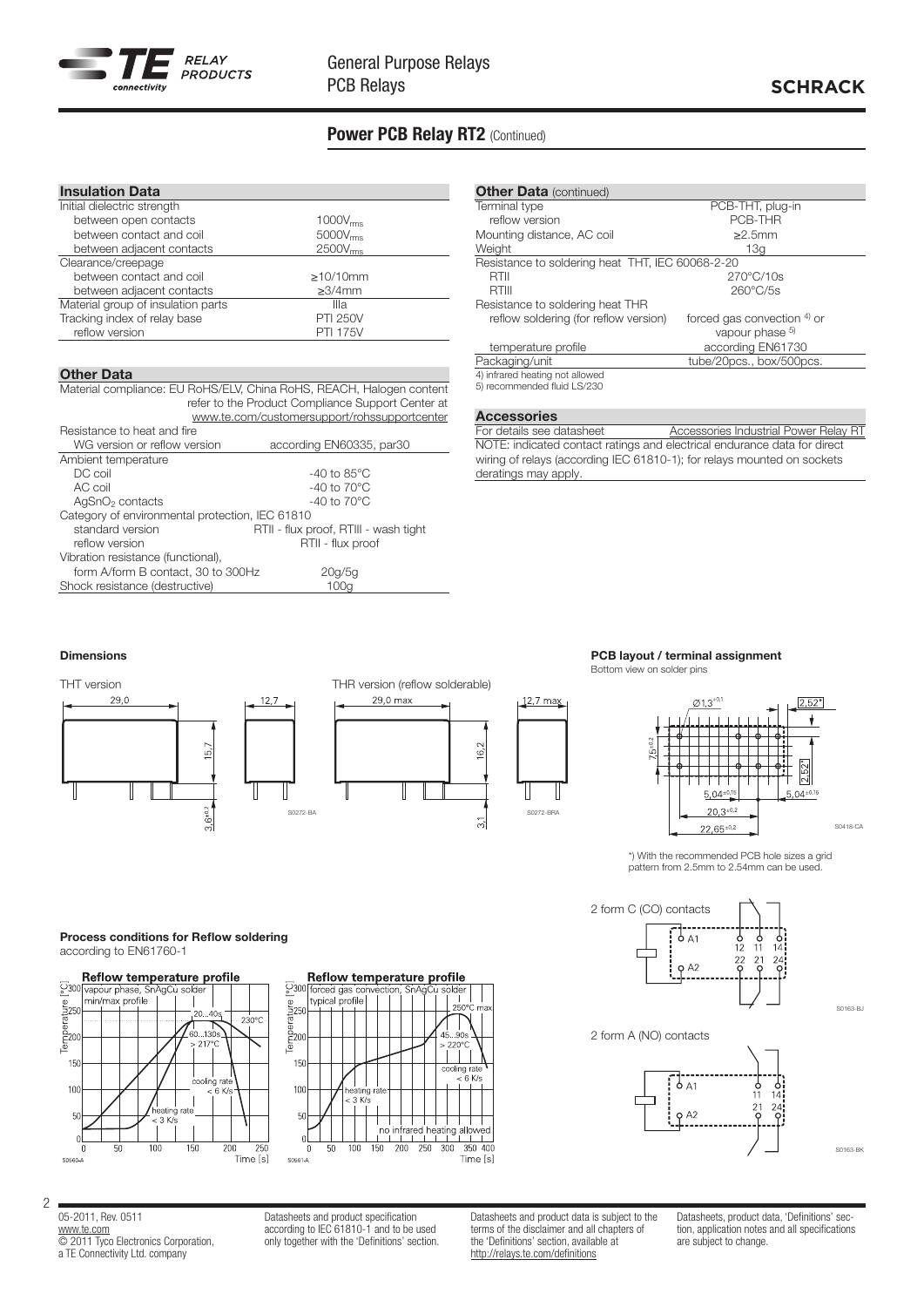

# **SCHRACK**

# Power PCB Relay RT2 (Continued)

| <b>Insulation Data</b>             |                      |  |
|------------------------------------|----------------------|--|
| Initial dielectric strength        |                      |  |
| between open contacts              | $1000V_{rms}$        |  |
| between contact and coil           | $5000V_{\text{rms}}$ |  |
| between adjacent contacts          | $2500V_{rms}$        |  |
| Clearance/creepage                 |                      |  |
| between contact and coil           | $\geq$ 10/10mm       |  |
| between adjacent contacts          | $\geq$ 3/4mm         |  |
| Material group of insulation parts | Illa                 |  |
| Tracking index of relay base       | <b>PTI 250V</b>      |  |
| reflow version                     | <b>PTI 175V</b>      |  |
|                                    |                      |  |

### Other Data

Material compliance: EU RoHS/ELV, China RoHS, REACH, Halogen content refer to the Product Compliance Support Center at <www.te.com/customersupport/rohssupportcenter>

| Resistance to heat and fire                     |                                       |
|-------------------------------------------------|---------------------------------------|
| WG version or reflow version                    | according EN60335, par30              |
| Ambient temperature                             |                                       |
| DC coil                                         | -40 to $85^{\circ}$ C                 |
| AC coil                                         | -40 to $70^{\circ}$ C                 |
| AgSnO <sub>2</sub> contacts                     | $-40$ to $70^{\circ}$ C               |
| Category of environmental protection, IEC 61810 |                                       |
| standard version                                | RTII - flux proof, RTIII - wash tight |
| reflow version                                  | RTII - flux proof                     |
| Vibration resistance (functional),              |                                       |
| form A/form B contact, 30 to 300Hz              | 20q/5q                                |
| Shock resistance (destructive)                  | 100g                                  |
|                                                 |                                       |

| <b>Other Data (continued)</b>                    |                             |
|--------------------------------------------------|-----------------------------|
|                                                  |                             |
| Terminal type                                    | PCB-THT, plug-in            |
| reflow version                                   | PCB-THR                     |
| Mounting distance, AC coil                       | >2.5mm                      |
| Weight                                           | 13a                         |
| Resistance to soldering heat THT, IEC 60068-2-20 |                             |
| RTII                                             | $270^{\circ}$ C/10s         |
| RTIII                                            | $260^{\circ}$ C/5s          |
| Resistance to soldering heat THR                 |                             |
| reflow soldering (for reflow version)            | forced gas convection 4) or |
|                                                  | vapour phase 5)             |
| temperature profile                              | according EN61730           |
| Packaging/unit                                   | tube/20pcs., box/500pcs.    |
| 4) infrared heating not allowed                  |                             |
| 5) recommended fluid LS/230                      |                             |

**Accessories**<br>For details see datasheet [Accessories Industrial Power Relay RT](http://documents.tycoelectronics.com/commerce/DocumentDelivery/DDEController?Action=srchrtrv&DocNm=RTacc&DocType=DS&DocLang=EN) NOTE: indicated contact ratings and electrical endurance data for direct wiring of relays (according IEC 61810-1); for relays mounted on sockets deratings may apply.

### Dimensions





### PCB layout / terminal assignment

Bottom view on solder pins



\*) With the recommended PCB hole sizes a grid pattern from 2.5mm to 2.54mm can be used.



S0163-BJ

S0163-BK

2 form A (NO) contacts



Process conditions for Reflow soldering according to EN61760-1





05-2011, Rev. 0511 [www.te.com](http://www.te.com) © 2011 Tyco Electronics Corporation, a TE Connectivity Ltd. company

2

Datasheets and product specification according to IEC 61810-1 and to be used only together with the 'Definitions' section. Datasheets and product data is subject to the terms of the disclaimer and all chapters of the 'Definitions' section, available at <http://relays.te.com/definitions>

Datasheets, product data, 'Definitions' section, application notes and all specifications are subject to change.